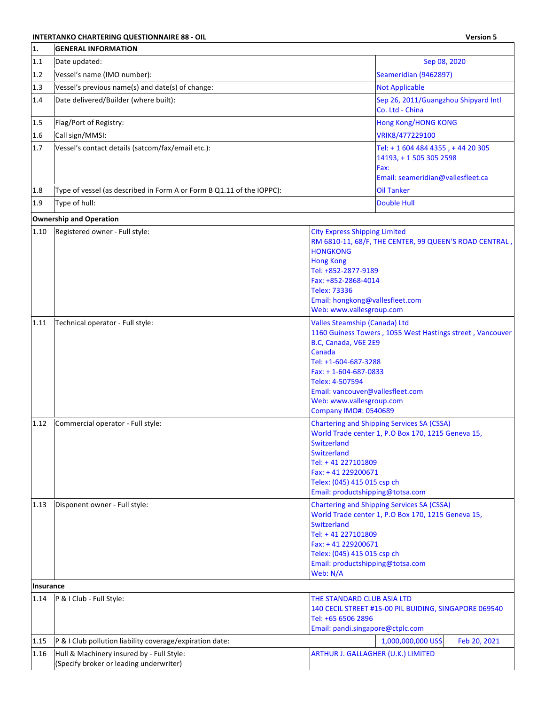## **INTERTANKO CHARTERING QUESTIONNAIRE 88 - OIL And the Contract of Charter Contract of Charles Contract of Charles Contract of Charles Contract of Charles Contract of Charles Contract of Charles Contract of Charles Contra**

| 1.        | <b>GENERAL INFORMATION</b>                                                           |                                                                                                                                                                                                                                                                                                                 |                                                                                                         |
|-----------|--------------------------------------------------------------------------------------|-----------------------------------------------------------------------------------------------------------------------------------------------------------------------------------------------------------------------------------------------------------------------------------------------------------------|---------------------------------------------------------------------------------------------------------|
| 1.1       | Date updated:                                                                        |                                                                                                                                                                                                                                                                                                                 | Sep 08, 2020                                                                                            |
| 1.2       | Vessel's name (IMO number):                                                          |                                                                                                                                                                                                                                                                                                                 | Seameridian (9462897)                                                                                   |
| 1.3       | Vessel's previous name(s) and date(s) of change:                                     |                                                                                                                                                                                                                                                                                                                 | <b>Not Applicable</b>                                                                                   |
| 1.4       | Date delivered/Builder (where built):                                                |                                                                                                                                                                                                                                                                                                                 | Sep 26, 2011/Guangzhou Shipyard Intl<br>Co. Ltd - China                                                 |
| 1.5       | Flag/Port of Registry:                                                               |                                                                                                                                                                                                                                                                                                                 | <b>Hong Kong/HONG KONG</b>                                                                              |
| 1.6       | Call sign/MMSI:                                                                      |                                                                                                                                                                                                                                                                                                                 | VRIK8/477229100                                                                                         |
| 1.7       | Vessel's contact details (satcom/fax/email etc.):                                    |                                                                                                                                                                                                                                                                                                                 | Tel: + 1 604 484 4355, + 44 20 305<br>14193, +15053052598<br>Fax:<br>Email: seameridian@vallesfleet.ca  |
| 1.8       | Type of vessel (as described in Form A or Form B Q1.11 of the IOPPC):                |                                                                                                                                                                                                                                                                                                                 | <b>Oil Tanker</b>                                                                                       |
| 1.9       | Type of hull:                                                                        |                                                                                                                                                                                                                                                                                                                 | <b>Double Hull</b>                                                                                      |
|           | <b>Ownership and Operation</b>                                                       |                                                                                                                                                                                                                                                                                                                 |                                                                                                         |
| 1.10      | Registered owner - Full style:                                                       | <b>City Express Shipping Limited</b><br><b>HONGKONG</b><br><b>Hong Kong</b><br>Tel: +852-2877-9189<br>Fax: +852-2868-4014<br><b>Telex: 73336</b><br>Email: hongkong@vallesfleet.com<br>Web: www.vallesgroup.com                                                                                                 | RM 6810-11, 68/F, THE CENTER, 99 QUEEN'S ROAD CENTRAL,                                                  |
| 1.11      | Technical operator - Full style:                                                     | <b>Valles Steamship (Canada) Ltd</b><br>1160 Guiness Towers, 1055 West Hastings street, Vancouver<br>B.C, Canada, V6E 2E9<br>Canada<br>Tel: +1-604-687-3288<br>$Fax: + 1 - 604 - 687 - 0833$<br>Telex: 4-507594<br>Email: vancouver@vallesfleet.com<br>Web: www.vallesgroup.com<br><b>Company IMO#: 0540689</b> |                                                                                                         |
| 1.12      | Commercial operator - Full style:                                                    | Switzerland<br><b>Switzerland</b><br>Tel: +41 227101809<br>Fax: +41 229200671<br>Telex: (045) 415 015 csp ch<br>Email: productshipping@totsa.com                                                                                                                                                                | <b>Chartering and Shipping Services SA (CSSA)</b><br>World Trade center 1, P.O Box 170, 1215 Geneva 15, |
| 1.13      | Disponent owner - Full style:                                                        | <b>Switzerland</b><br>Tel: +41 227101809<br>Fax: +41 229200671<br>Telex: (045) 415 015 csp ch<br>Email: productshipping@totsa.com<br>Web: N/A                                                                                                                                                                   | <b>Chartering and Shipping Services SA (CSSA)</b><br>World Trade center 1, P.O Box 170, 1215 Geneva 15, |
| Insurance |                                                                                      |                                                                                                                                                                                                                                                                                                                 |                                                                                                         |
| 1.14      | P & I Club - Full Style:                                                             | THE STANDARD CLUB ASIA LTD<br>Tel: +65 6506 2896<br>Email: pandi.singapore@ctplc.com                                                                                                                                                                                                                            | 140 CECIL STREET #15-00 PIL BUIDING, SINGAPORE 069540                                                   |
| 1.15      | P & I Club pollution liability coverage/expiration date:                             |                                                                                                                                                                                                                                                                                                                 | 1,000,000,000 US\$<br>Feb 20, 2021                                                                      |
| 1.16      | Hull & Machinery insured by - Full Style:<br>(Specify broker or leading underwriter) | ARTHUR J. GALLAGHER (U.K.) LIMITED                                                                                                                                                                                                                                                                              |                                                                                                         |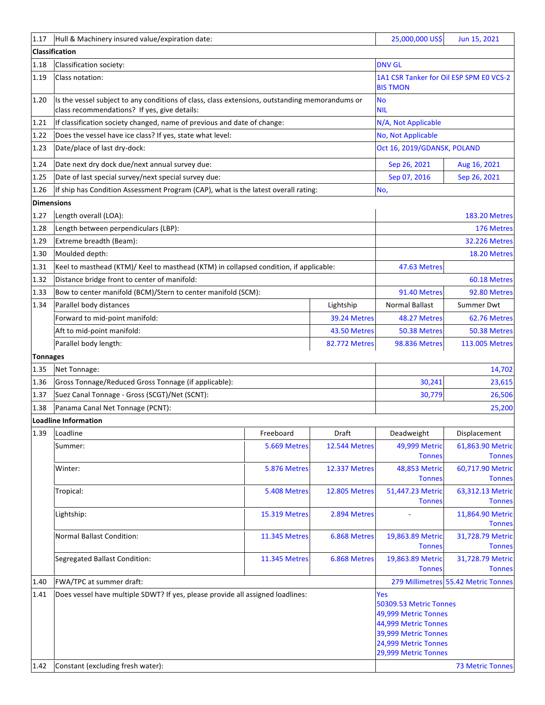| 1.17              | Hull & Machinery insured value/expiration date:                                       |                                                                                                |                      | 25,000,000 US\$                                                                                                                                              | Jun 15, 2021                        |
|-------------------|---------------------------------------------------------------------------------------|------------------------------------------------------------------------------------------------|----------------------|--------------------------------------------------------------------------------------------------------------------------------------------------------------|-------------------------------------|
|                   | <b>Classification</b>                                                                 |                                                                                                |                      |                                                                                                                                                              |                                     |
| 1.18              | Classification society:                                                               |                                                                                                |                      | <b>DNV GL</b>                                                                                                                                                |                                     |
| 1.19              | Class notation:                                                                       |                                                                                                |                      | 1A1 CSR Tanker for Oil ESP SPM E0 VCS-2<br><b>BIS TMON</b>                                                                                                   |                                     |
| 1.20              | class recommendations? If yes, give details:                                          | Is the vessel subject to any conditions of class, class extensions, outstanding memorandums or |                      |                                                                                                                                                              |                                     |
| 1.21              | If classification society changed, name of previous and date of change:               |                                                                                                |                      | N/A, Not Applicable                                                                                                                                          |                                     |
| 1.22              | Does the vessel have ice class? If yes, state what level:                             |                                                                                                |                      | No, Not Applicable                                                                                                                                           |                                     |
| 1.23              | Date/place of last dry-dock:                                                          |                                                                                                |                      | Oct 16, 2019/GDANSK, POLAND                                                                                                                                  |                                     |
| 1.24              | Date next dry dock due/next annual survey due:                                        |                                                                                                |                      | Sep 26, 2021                                                                                                                                                 | Aug 16, 2021                        |
| 1.25              | Date of last special survey/next special survey due:                                  |                                                                                                |                      | Sep 07, 2016                                                                                                                                                 | Sep 26, 2021                        |
| 1.26              | If ship has Condition Assessment Program (CAP), what is the latest overall rating:    |                                                                                                |                      | No,                                                                                                                                                          |                                     |
| <b>Dimensions</b> |                                                                                       |                                                                                                |                      |                                                                                                                                                              |                                     |
| 1.27              | Length overall (LOA):                                                                 |                                                                                                |                      |                                                                                                                                                              | <b>183.20 Metres</b>                |
| 1.28              | Length between perpendiculars (LBP):                                                  |                                                                                                |                      |                                                                                                                                                              | 176 Metres                          |
| 1.29              | Extreme breadth (Beam):                                                               |                                                                                                |                      |                                                                                                                                                              | <b>32.226 Metres</b>                |
| 1.30              | Moulded depth:                                                                        |                                                                                                |                      |                                                                                                                                                              | 18.20 Metres                        |
| 1.31              | Keel to masthead (KTM)/ Keel to masthead (KTM) in collapsed condition, if applicable: |                                                                                                |                      | 47.63 Metres                                                                                                                                                 |                                     |
| 1.32              | Distance bridge front to center of manifold:                                          |                                                                                                |                      |                                                                                                                                                              | 60.18 Metres                        |
| 1.33              | Bow to center manifold (BCM)/Stern to center manifold (SCM):                          |                                                                                                |                      | 91.40 Metres                                                                                                                                                 | 92.80 Metres                        |
| 1.34              | Parallel body distances                                                               |                                                                                                | Lightship            | <b>Normal Ballast</b>                                                                                                                                        | Summer Dwt                          |
|                   | Forward to mid-point manifold:                                                        |                                                                                                | 39.24 Metres         | 48.27 Metres                                                                                                                                                 | 62.76 Metres                        |
|                   | Aft to mid-point manifold:                                                            |                                                                                                | 43.50 Metres         | 50.38 Metres                                                                                                                                                 | 50.38 Metres                        |
|                   | Parallel body length:                                                                 |                                                                                                | <b>82.772 Metres</b> | <b>98.836 Metres</b>                                                                                                                                         | 113.005 Metres                      |
| <b>Tonnages</b>   |                                                                                       |                                                                                                |                      |                                                                                                                                                              |                                     |
| 1.35              | Net Tonnage:                                                                          |                                                                                                |                      |                                                                                                                                                              | 14,702                              |
| 1.36              | Gross Tonnage/Reduced Gross Tonnage (if applicable):                                  |                                                                                                |                      | 30,241                                                                                                                                                       | 23,615                              |
| 1.37              | Suez Canal Tonnage - Gross (SCGT)/Net (SCNT):                                         |                                                                                                |                      | 30,779                                                                                                                                                       | 26,506                              |
| 1.38              | Panama Canal Net Tonnage (PCNT):                                                      |                                                                                                |                      |                                                                                                                                                              | 25,200                              |
|                   | <b>Loadline Information</b>                                                           |                                                                                                |                      |                                                                                                                                                              |                                     |
| 1.39              | Loadline                                                                              | Freeboard                                                                                      | Draft                | Deadweight                                                                                                                                                   | Displacement                        |
|                   | Summer:                                                                               | 5.669 Metres                                                                                   | <b>12.544 Metres</b> | 49,999 Metric<br><b>Tonnes</b>                                                                                                                               | 61,863.90 Metric<br><b>Tonnes</b>   |
|                   | Winter:                                                                               | 5.876 Metres                                                                                   | <b>12.337 Metres</b> | 48,853 Metric<br><b>Tonnes</b>                                                                                                                               | 60,717.90 Metric<br><b>Tonnes</b>   |
|                   | Tropical:                                                                             | 5.408 Metres                                                                                   | <b>12.805 Metres</b> | 51,447.23 Metric<br><b>Tonnes</b>                                                                                                                            | 63,312.13 Metric<br><b>Tonnes</b>   |
|                   | Lightship:                                                                            | <b>15.319 Metres</b>                                                                           | 2.894 Metres         |                                                                                                                                                              | 11,864.90 Metric<br><b>Tonnes</b>   |
|                   | <b>Normal Ballast Condition:</b>                                                      | 11.345 Metres                                                                                  | 6.868 Metres         | 19,863.89 Metric<br><b>Tonnes</b>                                                                                                                            | 31,728.79 Metric<br><b>Tonnes</b>   |
|                   | Segregated Ballast Condition:                                                         | <b>11.345 Metres</b>                                                                           | 6.868 Metres         | 19,863.89 Metric<br><b>Tonnes</b>                                                                                                                            | 31,728.79 Metric<br><b>Tonnes</b>   |
| 1.40              | FWA/TPC at summer draft:                                                              |                                                                                                |                      |                                                                                                                                                              | 279 Millimetres 55.42 Metric Tonnes |
| 1.41<br>1.42      | Does vessel have multiple SDWT? If yes, please provide all assigned loadlines:        |                                                                                                |                      | <b>Yes</b><br>50309.53 Metric Tonnes<br>49,999 Metric Tonnes<br>44,999 Metric Tonnes<br>39,999 Metric Tonnes<br>24,999 Metric Tonnes<br>29,999 Metric Tonnes | <b>73 Metric Tonnes</b>             |
|                   | Constant (excluding fresh water):                                                     |                                                                                                |                      |                                                                                                                                                              |                                     |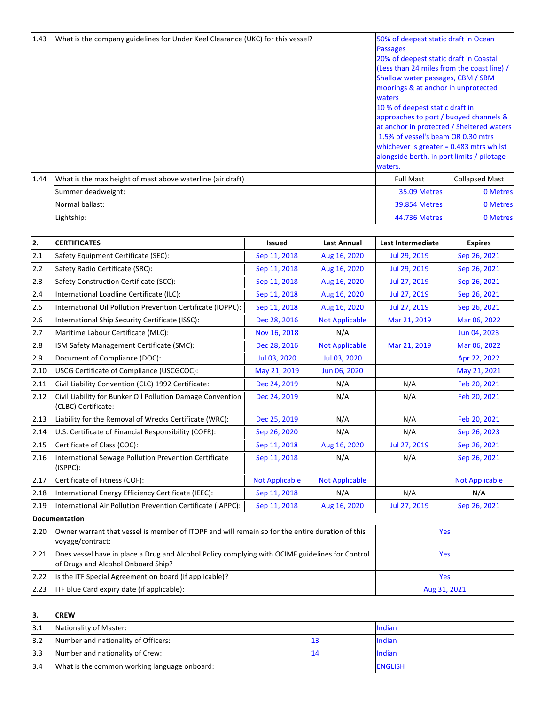| 1.43 | What is the company guidelines for Under Keel Clearance (UKC) for this vessel? | 50% of deepest static draft in Ocean<br><b>Passages</b> |                       |  |
|------|--------------------------------------------------------------------------------|---------------------------------------------------------|-----------------------|--|
|      |                                                                                | 20% of deepest static draft in Coastal                  |                       |  |
|      |                                                                                | (Less than 24 miles from the coast line) /              |                       |  |
|      |                                                                                | Shallow water passages, CBM / SBM                       |                       |  |
|      |                                                                                | moorings & at anchor in unprotected                     |                       |  |
|      |                                                                                | waters                                                  |                       |  |
|      |                                                                                | 10 % of deepest static draft in                         |                       |  |
|      |                                                                                | approaches to port / buoyed channels &                  |                       |  |
|      |                                                                                | at anchor in protected / Sheltered waters               |                       |  |
|      |                                                                                | 1.5% of vessel's beam OR 0.30 mtrs                      |                       |  |
|      |                                                                                | whichever is greater $= 0.483$ mtrs whilst              |                       |  |
|      |                                                                                | alongside berth, in port limits / pilotage              |                       |  |
|      |                                                                                | waters.                                                 |                       |  |
| 1.44 | What is the max height of mast above waterline (air draft)                     | <b>Full Mast</b>                                        | <b>Collapsed Mast</b> |  |
|      | Summer deadweight:                                                             | 35.09 Metres                                            | 0 Metres              |  |
|      | Normal ballast:                                                                | <b>39.854 Metres</b>                                    | 0 Metres              |  |
|      | Lightship:                                                                     | <b>44.736 Metres</b>                                    | 0 Metres              |  |

| 2.   | <b>CERTIFICATES</b>                                                                                                                   | <b>Issued</b>         | <b>Last Annual</b>    | <b>Last Intermediate</b> | <b>Expires</b>        |
|------|---------------------------------------------------------------------------------------------------------------------------------------|-----------------------|-----------------------|--------------------------|-----------------------|
| 2.1  | Safety Equipment Certificate (SEC):                                                                                                   | Sep 11, 2018          | Aug 16, 2020          | Jul 29, 2019             | Sep 26, 2021          |
| 2.2  | Safety Radio Certificate (SRC):                                                                                                       | Sep 11, 2018          | Aug 16, 2020          | Jul 29, 2019             | Sep 26, 2021          |
| 2.3  | Safety Construction Certificate (SCC):                                                                                                | Sep 11, 2018          | Aug 16, 2020          | Jul 27, 2019             | Sep 26, 2021          |
| 2.4  | International Loadline Certificate (ILC):                                                                                             | Sep 11, 2018          | Aug 16, 2020          | Jul 27, 2019             | Sep 26, 2021          |
| 2.5  | International Oil Pollution Prevention Certificate (IOPPC):                                                                           | Sep 11, 2018          | Aug 16, 2020          | Jul 27, 2019             | Sep 26, 2021          |
| 2.6  | International Ship Security Certificate (ISSC):                                                                                       | Dec 28, 2016          | <b>Not Applicable</b> | Mar 21, 2019             | Mar 06, 2022          |
| 2.7  | Maritime Labour Certificate (MLC):                                                                                                    | Nov 16, 2018          | N/A                   |                          | Jun 04, 2023          |
| 2.8  | ISM Safety Management Certificate (SMC):                                                                                              | Dec 28, 2016          | <b>Not Applicable</b> | Mar 21, 2019             | Mar 06, 2022          |
| 2.9  | Document of Compliance (DOC):                                                                                                         | Jul 03, 2020          | Jul 03, 2020          |                          | Apr 22, 2022          |
| 2.10 | USCG Certificate of Compliance (USCGCOC):                                                                                             | May 21, 2019          | Jun 06, 2020          |                          | May 21, 2021          |
| 2.11 | Civil Liability Convention (CLC) 1992 Certificate:                                                                                    | Dec 24, 2019          | N/A                   | N/A                      | Feb 20, 2021          |
| 2.12 | Civil Liability for Bunker Oil Pollution Damage Convention<br>(CLBC) Certificate:                                                     | Dec 24, 2019          | N/A                   | N/A                      | Feb 20, 2021          |
| 2.13 | Liability for the Removal of Wrecks Certificate (WRC):                                                                                | Dec 25, 2019          | N/A                   | N/A                      | Feb 20, 2021          |
| 2.14 | U.S. Certificate of Financial Responsibility (COFR):                                                                                  | Sep 26, 2020          | N/A                   | N/A                      | Sep 26, 2023          |
| 2.15 | Certificate of Class (COC):                                                                                                           | Sep 11, 2018          | Aug 16, 2020          | Jul 27, 2019             | Sep 26, 2021          |
| 2.16 | International Sewage Pollution Prevention Certificate<br>(ISPPC):                                                                     | Sep 11, 2018          | N/A                   | N/A                      | Sep 26, 2021          |
| 2.17 | Certificate of Fitness (COF):                                                                                                         | <b>Not Applicable</b> | <b>Not Applicable</b> |                          | <b>Not Applicable</b> |
| 2.18 | International Energy Efficiency Certificate (IEEC):                                                                                   | Sep 11, 2018          | N/A                   | N/A                      | N/A                   |
| 2.19 | International Air Pollution Prevention Certificate (IAPPC):                                                                           | Sep 11, 2018          | Aug 16, 2020          | Jul 27, 2019             | Sep 26, 2021          |
|      | <b>Documentation</b>                                                                                                                  |                       |                       |                          |                       |
| 2.20 | Owner warrant that vessel is member of ITOPF and will remain so for the entire duration of this<br>voyage/contract:                   |                       | Yes                   |                          |                       |
| 2.21 | Does vessel have in place a Drug and Alcohol Policy complying with OCIMF guidelines for Control<br>of Drugs and Alcohol Onboard Ship? |                       |                       | Yes                      |                       |
| 2.22 | Is the ITF Special Agreement on board (if applicable)?                                                                                |                       |                       | Yes                      |                       |
| 2.23 | ITF Blue Card expiry date (if applicable):                                                                                            |                       |                       | Aug 31, 2021             |                       |

| 13.  | <b>ICREW</b>                                 |    |                |
|------|----------------------------------------------|----|----------------|
| 13.1 | Nationality of Master:                       |    | Indian         |
| 3.2  | Number and nationality of Officers:          |    | Indian         |
| 13.3 | Number and nationality of Crew:              | 14 | Indian         |
| 13.4 | What is the common working language onboard: |    | <b>ENGLISH</b> |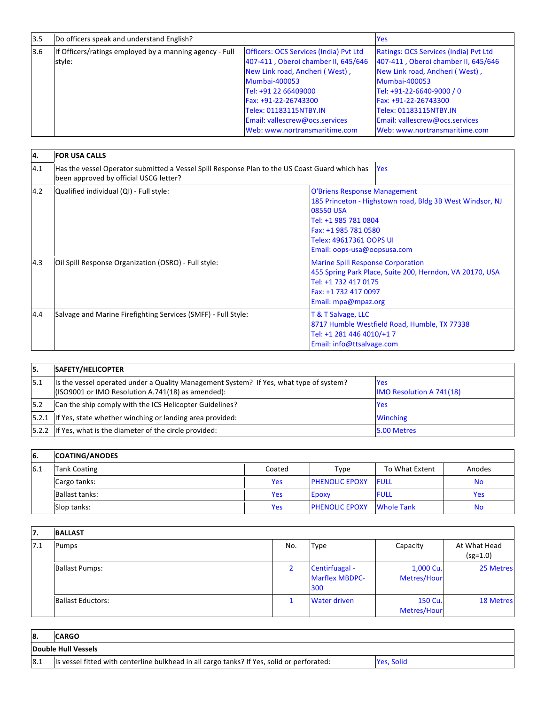| 3.5 | Do officers speak and understand English?                         |                                                                                                                                                                                                                                                                                             | <b>Yes</b>                                                                                                                                                                                                                                                                                      |
|-----|-------------------------------------------------------------------|---------------------------------------------------------------------------------------------------------------------------------------------------------------------------------------------------------------------------------------------------------------------------------------------|-------------------------------------------------------------------------------------------------------------------------------------------------------------------------------------------------------------------------------------------------------------------------------------------------|
| 3.6 | If Officers/ratings employed by a manning agency - Full<br>style: | <b>Officers: OCS Services (India) Pvt Ltd</b><br>407-411, Oberoi chamber II, 645/646<br>New Link road, Andheri (West),<br><b>Mumbai-400053</b><br>Tel: +91 22 66409000<br>Fax: +91-22-26743300<br>Telex: 01183115NTBY.IN<br>Email: vallescrew@ocs.services<br>Web: www.nortransmaritime.com | <b>Ratings: OCS Services (India) Pvt Ltd</b><br>407-411, Oberoi chamber II, 645/646<br>New Link road, Andheri (West),<br><b>Mumbai-400053</b><br>Tel: +91-22-6640-9000 / 0<br>Fax: +91-22-26743300<br>Telex: 01183115NTBY.IN<br>Email: vallescrew@ocs.services<br>Web: www.nortransmaritime.com |

| <b>4.</b> | <b>FOR USA CALLS</b>                                                                                                                     |                                                                                                                                                                                                                        |  |  |  |
|-----------|------------------------------------------------------------------------------------------------------------------------------------------|------------------------------------------------------------------------------------------------------------------------------------------------------------------------------------------------------------------------|--|--|--|
| 4.1       | Has the vessel Operator submitted a Vessel Spill Response Plan to the US Coast Guard which has<br>been approved by official USCG letter? | <b>Yes</b>                                                                                                                                                                                                             |  |  |  |
| 4.2       | Qualified individual (QI) - Full style:                                                                                                  | <b>O'Briens Response Management</b><br>185 Princeton - Highstown road, Bldg 3B West Windsor, NJ<br>08550 USA<br>Tel: +1 985 781 0804<br>Fax: +1 985 781 0580<br>Telex: 49617361 OOPS UI<br>Email: oops-usa@oopsusa.com |  |  |  |
| 4.3       | Oil Spill Response Organization (OSRO) - Full style:                                                                                     | <b>Marine Spill Response Corporation</b><br>455 Spring Park Place, Suite 200, Herndon, VA 20170, USA<br>Tel: +1 732 417 0175<br>Fax: +1 732 417 0097<br>Email: mpa@mpaz.org                                            |  |  |  |
| 4.4       | Salvage and Marine Firefighting Services (SMFF) - Full Style:                                                                            | T & T Salvage, LLC<br>8717 Humble Westfield Road, Humble, TX 77338<br>Tel: +1 281 446 4010/+17<br>Email: info@ttsalvage.com                                                                                            |  |  |  |

| 15.  | <b>SAFETY/HELICOPTER</b>                                                                                                                     |                                               |
|------|----------------------------------------------------------------------------------------------------------------------------------------------|-----------------------------------------------|
| 15.1 | Its the vessel operated under a Quality Management System? If Yes, what type of system?<br>(ISO9001 or IMO Resolution A.741(18) as amended): | <b>Yes</b><br><b>IMO Resolution A 741(18)</b> |
| 15.2 | Can the ship comply with the ICS Helicopter Guidelines?                                                                                      | <b>Yes</b>                                    |
|      | [5.2.1 If Yes, state whether winching or landing area provided:                                                                              | <b>Winching</b>                               |
|      | [5.2.2 If Yes, what is the diameter of the circle provided:                                                                                  | 5.00 Metres                                   |

| 16. | <b>COATING/ANODES</b> |            |                       |                   |            |
|-----|-----------------------|------------|-----------------------|-------------------|------------|
| 6.1 | <b>Tank Coating</b>   | Coated     | Type                  | To What Extent    | Anodes     |
|     | Cargo tanks:          | Yes        | <b>PHENOLIC EPOXY</b> | <b>FULL</b>       | <b>No</b>  |
|     | Ballast tanks:        | Yes        | Epoxy                 | <b>FULL</b>       | <b>Yes</b> |
|     | Slop tanks:           | <b>Yes</b> | <b>PHENOLIC EPOXY</b> | <b>Whole Tank</b> | <b>No</b>  |

| 17. | <b>BALLAST</b>           |                |                                                |                          |                            |
|-----|--------------------------|----------------|------------------------------------------------|--------------------------|----------------------------|
| 7.1 | Pumps                    | No.            | <b>Type</b>                                    | Capacity                 | At What Head<br>$(sg=1.0)$ |
|     | <b>Ballast Pumps:</b>    | $\overline{2}$ | Centirfuagal -<br><b>Marflex MBDPC-</b><br>300 | 1,000 Cu.<br>Metres/Hour | 25 Metres                  |
|     | <b>Ballast Eductors:</b> | 1              | <b>Water driven</b>                            | 150 Cu.<br>Metres/Hour   | <b>18 Metres</b>           |
|     |                          |                |                                                |                          |                            |

| <b>8.</b> | <b>CARGO</b>                                                                                |            |
|-----------|---------------------------------------------------------------------------------------------|------------|
|           | Double Hull Vessels                                                                         |            |
| 8.1       | Its vessel fitted with centerline bulkhead in all cargo tanks? If Yes, solid or perforated: | Yes. Solid |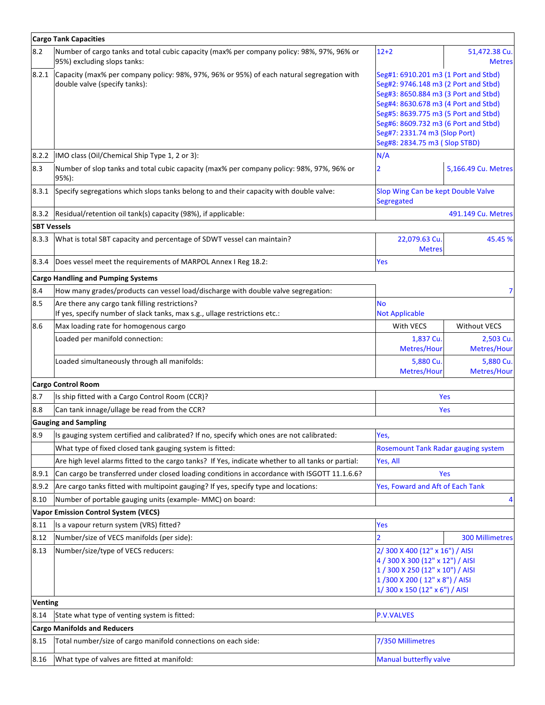|                    | <b>Cargo Tank Capacities</b>                                                                                                 |                                                                                                                                                                                                                                                                                                                 |                                |
|--------------------|------------------------------------------------------------------------------------------------------------------------------|-----------------------------------------------------------------------------------------------------------------------------------------------------------------------------------------------------------------------------------------------------------------------------------------------------------------|--------------------------------|
| 8.2                | Number of cargo tanks and total cubic capacity (max% per company policy: 98%, 97%, 96% or<br>95%) excluding slops tanks:     | $12 + 2$                                                                                                                                                                                                                                                                                                        | 51,472.38 Cu.<br><b>Metres</b> |
| 8.2.1              | Capacity (max% per company policy: 98%, 97%, 96% or 95%) of each natural segregation with<br>double valve (specify tanks):   | Seg#1: 6910.201 m3 (1 Port and Stbd)<br>Seg#2: 9746.148 m3 (2 Port and Stbd)<br>Seg#3: 8650.884 m3 (3 Port and Stbd)<br>Seg#4: 8630.678 m3 (4 Port and Stbd)<br>Seg#5: 8639.775 m3 (5 Port and Stbd)<br>Seg#6: 8609.732 m3 (6 Port and Stbd)<br>Seg#7: 2331.74 m3 (Slop Port)<br>Seg#8: 2834.75 m3 ( Slop STBD) |                                |
| 8.2.2              | IMO class (Oil/Chemical Ship Type 1, 2 or 3):                                                                                | N/A                                                                                                                                                                                                                                                                                                             |                                |
| 8.3                | Number of slop tanks and total cubic capacity (max% per company policy: 98%, 97%, 96% or<br>95%):                            | 2                                                                                                                                                                                                                                                                                                               | 5,166.49 Cu. Metres            |
| 8.3.1              | Specify segregations which slops tanks belong to and their capacity with double valve:                                       | Slop Wing Can be kept Double Valve<br>Segregated                                                                                                                                                                                                                                                                |                                |
| 8.3.2              | Residual/retention oil tank(s) capacity (98%), if applicable:                                                                |                                                                                                                                                                                                                                                                                                                 | 491.149 Cu. Metres             |
| <b>SBT Vessels</b> |                                                                                                                              |                                                                                                                                                                                                                                                                                                                 |                                |
| 8.3.3              | What is total SBT capacity and percentage of SDWT vessel can maintain?                                                       | 22,079.63 Cu.<br><b>Metres</b>                                                                                                                                                                                                                                                                                  | 45.45 %                        |
| 8.3.4              | Does vessel meet the requirements of MARPOL Annex I Reg 18.2:                                                                | Yes                                                                                                                                                                                                                                                                                                             |                                |
|                    | <b>Cargo Handling and Pumping Systems</b>                                                                                    |                                                                                                                                                                                                                                                                                                                 |                                |
| 8.4                | How many grades/products can vessel load/discharge with double valve segregation:                                            |                                                                                                                                                                                                                                                                                                                 |                                |
| 8.5                | Are there any cargo tank filling restrictions?<br>If yes, specify number of slack tanks, max s.g., ullage restrictions etc.: | <b>No</b><br><b>Not Applicable</b>                                                                                                                                                                                                                                                                              |                                |
| 8.6                | Max loading rate for homogenous cargo                                                                                        | With VECS                                                                                                                                                                                                                                                                                                       | <b>Without VECS</b>            |
|                    | Loaded per manifold connection:                                                                                              | 1,837 Cu.<br>Metres/Hour                                                                                                                                                                                                                                                                                        | 2,503 Cu.<br>Metres/Hour       |
|                    | Loaded simultaneously through all manifolds:                                                                                 | 5,880 Cu.<br>Metres/Hour                                                                                                                                                                                                                                                                                        | 5,880 Cu.<br>Metres/Hour       |
|                    | <b>Cargo Control Room</b>                                                                                                    |                                                                                                                                                                                                                                                                                                                 |                                |
| 8.7                | Is ship fitted with a Cargo Control Room (CCR)?                                                                              |                                                                                                                                                                                                                                                                                                                 | Yes                            |
| 8.8                | Can tank innage/ullage be read from the CCR?                                                                                 |                                                                                                                                                                                                                                                                                                                 | Yes                            |
|                    | <b>Gauging and Sampling</b>                                                                                                  |                                                                                                                                                                                                                                                                                                                 |                                |
| 8.9                | Is gauging system certified and calibrated? If no, specify which ones are not calibrated:                                    | Yes,                                                                                                                                                                                                                                                                                                            |                                |
|                    | What type of fixed closed tank gauging system is fitted:                                                                     | Rosemount Tank Radar gauging system                                                                                                                                                                                                                                                                             |                                |
|                    | Are high level alarms fitted to the cargo tanks? If Yes, indicate whether to all tanks or partial:                           | Yes, All                                                                                                                                                                                                                                                                                                        |                                |
| 8.9.1              | Can cargo be transferred under closed loading conditions in accordance with ISGOTT 11.1.6.6?                                 |                                                                                                                                                                                                                                                                                                                 | Yes                            |
| 8.9.2              | Are cargo tanks fitted with multipoint gauging? If yes, specify type and locations:                                          | Yes, Foward and Aft of Each Tank                                                                                                                                                                                                                                                                                |                                |
| 8.10               | Number of portable gauging units (example- MMC) on board:                                                                    |                                                                                                                                                                                                                                                                                                                 |                                |
|                    | <b>Vapor Emission Control System (VECS)</b>                                                                                  |                                                                                                                                                                                                                                                                                                                 |                                |
| 8.11               | Is a vapour return system (VRS) fitted?                                                                                      | Yes                                                                                                                                                                                                                                                                                                             |                                |
| 8.12               | Number/size of VECS manifolds (per side):                                                                                    | 2                                                                                                                                                                                                                                                                                                               | <b>300 Millimetres</b>         |
| 8.13               | Number/size/type of VECS reducers:                                                                                           | 2/300 X 400 (12" x 16") / AISI<br>4 / 300 X 300 (12" x 12") / AISI<br>1 / 300 X 250 (12" x 10") / AISI<br>1/300 X 200 (12" x 8") / AISI<br>1/300 x 150 (12" x 6") / AISI                                                                                                                                        |                                |
| <b>Venting</b>     |                                                                                                                              |                                                                                                                                                                                                                                                                                                                 |                                |
| 8.14               | State what type of venting system is fitted:                                                                                 | <b>P.V.VALVES</b>                                                                                                                                                                                                                                                                                               |                                |
|                    | <b>Cargo Manifolds and Reducers</b>                                                                                          |                                                                                                                                                                                                                                                                                                                 |                                |
| 8.15               | Total number/size of cargo manifold connections on each side:                                                                | 7/350 Millimetres                                                                                                                                                                                                                                                                                               |                                |
| 8.16               | What type of valves are fitted at manifold:                                                                                  | <b>Manual butterfly valve</b>                                                                                                                                                                                                                                                                                   |                                |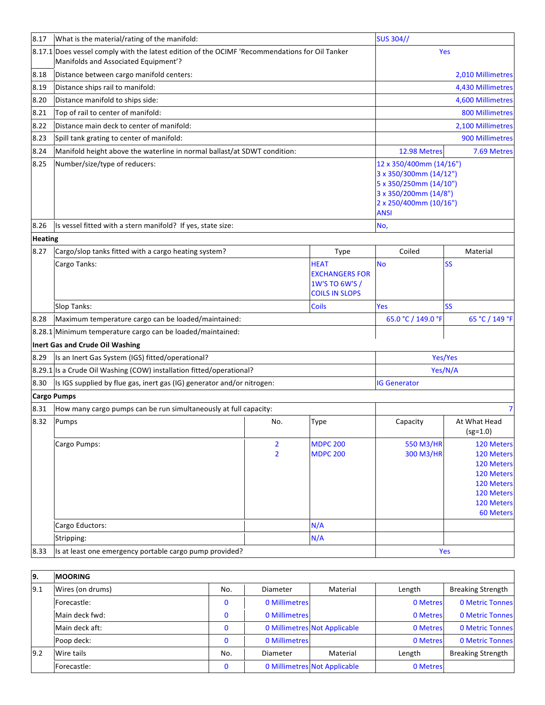| 8.17           | What is the material/rating of the manifold:                                                                                           |     |                | <b>SUS 304//</b>        |                                                 |                            |  |
|----------------|----------------------------------------------------------------------------------------------------------------------------------------|-----|----------------|-------------------------|-------------------------------------------------|----------------------------|--|
|                | 8.17.1 Does vessel comply with the latest edition of the OCIMF 'Recommendations for Oil Tanker<br>Manifolds and Associated Equipment'? |     |                |                         | Yes                                             |                            |  |
| 8.18           | Distance between cargo manifold centers:                                                                                               |     |                |                         | 2,010 Millimetres                               |                            |  |
| 8.19           | Distance ships rail to manifold:                                                                                                       |     |                |                         |                                                 | 4,430 Millimetres          |  |
| 8.20           | Distance manifold to ships side:                                                                                                       |     |                |                         |                                                 | 4,600 Millimetres          |  |
| 8.21           | Top of rail to center of manifold:                                                                                                     |     |                |                         |                                                 | <b>800 Millimetres</b>     |  |
| 8.22           | Distance main deck to center of manifold:                                                                                              |     |                |                         | 2,100 Millimetres                               |                            |  |
| 8.23           | Spill tank grating to center of manifold:                                                                                              |     |                |                         |                                                 | 900 Millimetres            |  |
| 8.24           | Manifold height above the waterline in normal ballast/at SDWT condition:                                                               |     |                |                         | 12.98 Metres                                    | 7.69 Metres                |  |
| 8.25           | Number/size/type of reducers:                                                                                                          |     |                | 12 x 350/400mm (14/16") |                                                 |                            |  |
|                |                                                                                                                                        |     |                |                         | 3 x 350/300mm (14/12")                          |                            |  |
|                |                                                                                                                                        |     |                |                         | 5 x 350/250mm (14/10")                          |                            |  |
|                |                                                                                                                                        |     |                |                         | 3 x 350/200mm (14/8")<br>2 x 250/400mm (10/16") |                            |  |
|                |                                                                                                                                        |     |                |                         | <b>ANSI</b>                                     |                            |  |
| 8.26           | Is vessel fitted with a stern manifold? If yes, state size:                                                                            |     |                |                         | No,                                             |                            |  |
| <b>Heating</b> |                                                                                                                                        |     |                |                         |                                                 |                            |  |
| 8.27           | Cargo/slop tanks fitted with a cargo heating system?                                                                                   |     |                | Type                    | Coiled                                          | Material                   |  |
|                | Cargo Tanks:                                                                                                                           |     |                | <b>HEAT</b>             | No                                              | <b>SS</b>                  |  |
|                |                                                                                                                                        |     |                | <b>EXCHANGERS FOR</b>   |                                                 |                            |  |
|                |                                                                                                                                        |     |                | 1W'S TO 6W'S /          |                                                 |                            |  |
|                |                                                                                                                                        |     |                | <b>COILS IN SLOPS</b>   |                                                 |                            |  |
|                | Slop Tanks:                                                                                                                            |     |                | <b>Coils</b>            | Yes                                             | <b>SS</b>                  |  |
| 8.28           | Maximum temperature cargo can be loaded/maintained:                                                                                    |     |                |                         | 65.0 °C / 149.0 °F                              | 65 °C / 149 °F             |  |
| 8.28.1         | Minimum temperature cargo can be loaded/maintained:                                                                                    |     |                |                         |                                                 |                            |  |
|                | Inert Gas and Crude Oil Washing                                                                                                        |     |                |                         |                                                 |                            |  |
| 8.29           | Is an Inert Gas System (IGS) fitted/operational?                                                                                       |     |                |                         |                                                 | Yes/Yes                    |  |
|                | 8.29.1 Is a Crude Oil Washing (COW) installation fitted/operational?                                                                   |     |                |                         |                                                 | Yes/N/A                    |  |
| 8.30           | Is IGS supplied by flue gas, inert gas (IG) generator and/or nitrogen:                                                                 |     |                |                         | <b>IG Generator</b>                             |                            |  |
|                | <b>Cargo Pumps</b>                                                                                                                     |     |                |                         |                                                 |                            |  |
| 8.31           | How many cargo pumps can be run simultaneously at full capacity:                                                                       |     |                |                         |                                                 | 7                          |  |
| 8.32           | Pumps                                                                                                                                  |     | No.            | Type                    | Capacity                                        | At What Head<br>$(sg=1.0)$ |  |
|                | Cargo Pumps:                                                                                                                           |     | $\overline{2}$ | <b>MDPC 200</b>         | 550 M3/HR                                       | 120 Meters                 |  |
|                |                                                                                                                                        |     | $\overline{2}$ | <b>MDPC 200</b>         | 300 M3/HR                                       | 120 Meters                 |  |
|                |                                                                                                                                        |     |                |                         |                                                 | 120 Meters                 |  |
|                |                                                                                                                                        |     |                |                         |                                                 | 120 Meters<br>120 Meters   |  |
|                |                                                                                                                                        |     |                |                         |                                                 | 120 Meters                 |  |
|                |                                                                                                                                        |     |                |                         |                                                 | 120 Meters                 |  |
|                |                                                                                                                                        |     |                |                         |                                                 | 60 Meters                  |  |
|                | Cargo Eductors:                                                                                                                        |     |                | N/A                     |                                                 |                            |  |
|                | Stripping:                                                                                                                             |     |                | N/A                     |                                                 |                            |  |
| 8.33           | Is at least one emergency portable cargo pump provided?                                                                                |     |                |                         |                                                 | Yes                        |  |
|                |                                                                                                                                        |     |                |                         |                                                 |                            |  |
| 9.             | <b>MOORING</b>                                                                                                                         |     |                |                         |                                                 |                            |  |
| 9.1            | Wires (on drums)                                                                                                                       | No. | Diameter       | Material                | Length                                          | <b>Breaking Strength</b>   |  |

| 9.1  | Wires (on drums) | No. | Diameter      | Material                     | Length   | <b>Breaking Strength</b> |
|------|------------------|-----|---------------|------------------------------|----------|--------------------------|
|      | Forecastle:      |     | 0 Millimetres |                              | 0 Metres | <b>0 Metric Tonnes</b>   |
|      | Main deck fwd:   |     | 0 Millimetres |                              | 0 Metres | <b>0 Metric Tonnes</b>   |
|      | Main deck aft:   |     |               | 0 Millimetres Not Applicable | 0 Metres | <b>0 Metric Tonnes</b>   |
|      | Poop deck:       |     | 0 Millimetres |                              | 0 Metres | <b>0 Metric Tonnes</b>   |
| 19.2 | Wire tails       | No. | Diameter      | Material                     | Length   | <b>Breaking Strength</b> |
|      | Forecastle:      |     |               | 0 Millimetres Not Applicable | 0 Metres |                          |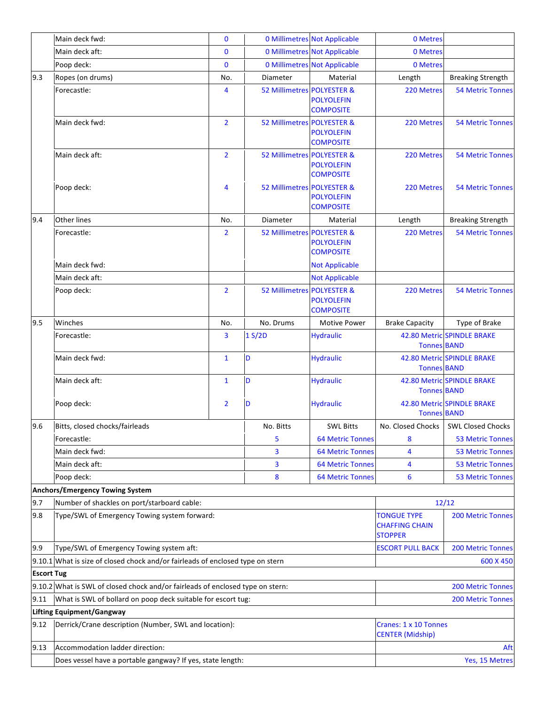|                   | Main deck fwd:                                                                 | $\bf{0}$       |                            | <b>0 Millimetres Not Applicable</b>   | 0 Metres                                                      |                            |
|-------------------|--------------------------------------------------------------------------------|----------------|----------------------------|---------------------------------------|---------------------------------------------------------------|----------------------------|
|                   | Main deck aft:                                                                 | $\mathbf{0}$   |                            | <b>0 Millimetres Not Applicable</b>   | 0 Metres                                                      |                            |
|                   | Poop deck:                                                                     | 0              |                            | <b>0 Millimetres Not Applicable</b>   | 0 Metres                                                      |                            |
| 9.3               | Ropes (on drums)                                                               | No.            | Diameter                   | Material                              | Length                                                        | <b>Breaking Strength</b>   |
|                   | Forecastle:                                                                    | 4              | 52 Millimetres POLYESTER & | <b>POLYOLEFIN</b><br><b>COMPOSITE</b> | 220 Metres                                                    | <b>54 Metric Tonnes</b>    |
|                   | Main deck fwd:                                                                 | $\overline{2}$ | 52 Millimetres POLYESTER & | <b>POLYOLEFIN</b><br><b>COMPOSITE</b> | 220 Metres                                                    | <b>54 Metric Tonnes</b>    |
|                   | Main deck aft:                                                                 | $\overline{2}$ | 52 Millimetres POLYESTER & | <b>POLYOLEFIN</b><br><b>COMPOSITE</b> | 220 Metres                                                    | <b>54 Metric Tonnes</b>    |
|                   | Poop deck:                                                                     | 4              | 52 Millimetres POLYESTER & | <b>POLYOLEFIN</b><br><b>COMPOSITE</b> | 220 Metres                                                    | <b>54 Metric Tonnes</b>    |
| 9.4               | <b>Other lines</b>                                                             | No.            | Diameter                   | Material                              | Length                                                        | <b>Breaking Strength</b>   |
|                   | Forecastle:                                                                    | 2              | 52 Millimetres POLYESTER & | <b>POLYOLEFIN</b><br><b>COMPOSITE</b> | 220 Metres                                                    | <b>54 Metric Tonnes</b>    |
|                   | Main deck fwd:                                                                 |                |                            | <b>Not Applicable</b>                 |                                                               |                            |
|                   | Main deck aft:                                                                 |                |                            | <b>Not Applicable</b>                 |                                                               |                            |
|                   | Poop deck:                                                                     | $\overline{2}$ | 52 Millimetres POLYESTER & | <b>POLYOLEFIN</b><br><b>COMPOSITE</b> | 220 Metres                                                    | <b>54 Metric Tonnes</b>    |
| 9.5               | Winches                                                                        | No.            | No. Drums                  | Motive Power                          | <b>Brake Capacity</b>                                         | Type of Brake              |
|                   | Forecastle:                                                                    | 3              | 1 S/2D                     | <b>Hydraulic</b>                      | <b>Tonnes BAND</b>                                            | 42.80 Metric SPINDLE BRAKE |
|                   | Main deck fwd:                                                                 | $\mathbf{1}$   | D                          | <b>Hydraulic</b>                      | <b>Tonnes BAND</b>                                            | 42.80 Metric SPINDLE BRAKE |
|                   | Main deck aft:                                                                 | $\mathbf{1}$   | D                          | <b>Hydraulic</b>                      | <b>Tonnes BAND</b>                                            | 42.80 Metric SPINDLE BRAKE |
|                   | Poop deck:                                                                     | 2              | D                          | <b>Hydraulic</b>                      | <b>Tonnes BAND</b>                                            | 42.80 Metric SPINDLE BRAKE |
| 9.6               | Bitts, closed chocks/fairleads                                                 |                | No. Bitts                  | <b>SWL Bitts</b>                      | No. Closed Chocks                                             | SWL Closed Chocks          |
|                   | Forecastle:                                                                    |                | 5                          | <b>64 Metric Tonnes</b>               | 8                                                             | <b>53 Metric Tonnes</b>    |
|                   | Main deck fwd:                                                                 |                | 3                          | <b>64 Metric Tonnes</b>               | 4                                                             | <b>53 Metric Tonnes</b>    |
|                   | Main deck aft:                                                                 |                | 3                          | <b>64 Metric Tonnes</b>               | 4                                                             | <b>53 Metric Tonnes</b>    |
|                   | Poop deck:                                                                     |                | 8                          | <b>64 Metric Tonnes</b>               | 6                                                             | <b>53 Metric Tonnes</b>    |
|                   | <b>Anchors/Emergency Towing System</b>                                         |                |                            |                                       |                                                               |                            |
| 9.7               | Number of shackles on port/starboard cable:                                    |                |                            |                                       |                                                               | 12/12                      |
| 9.8               | Type/SWL of Emergency Towing system forward:                                   |                |                            |                                       | <b>TONGUE TYPE</b><br><b>CHAFFING CHAIN</b><br><b>STOPPER</b> | <b>200 Metric Tonnes</b>   |
| 9.9               | Type/SWL of Emergency Towing system aft:                                       |                |                            |                                       | <b>ESCORT PULL BACK</b>                                       | <b>200 Metric Tonnes</b>   |
|                   | 9.10.1 What is size of closed chock and/or fairleads of enclosed type on stern |                |                            |                                       |                                                               | 600 X 450                  |
| <b>Escort Tug</b> |                                                                                |                |                            |                                       |                                                               |                            |
|                   | 9.10.2 What is SWL of closed chock and/or fairleads of enclosed type on stern: |                |                            |                                       |                                                               | <b>200 Metric Tonnes</b>   |
| 9.11              | What is SWL of bollard on poop deck suitable for escort tug:                   |                |                            |                                       |                                                               | <b>200 Metric Tonnes</b>   |
|                   | <b>Lifting Equipment/Gangway</b>                                               |                |                            |                                       |                                                               |                            |
| 9.12              | Derrick/Crane description (Number, SWL and location):                          |                |                            |                                       | Cranes: 1 x 10 Tonnes<br><b>CENTER (Midship)</b>              |                            |
| 9.13              | Accommodation ladder direction:                                                |                |                            |                                       |                                                               | Aft                        |
|                   | Does vessel have a portable gangway? If yes, state length:                     |                |                            |                                       |                                                               | Yes, 15 Metres             |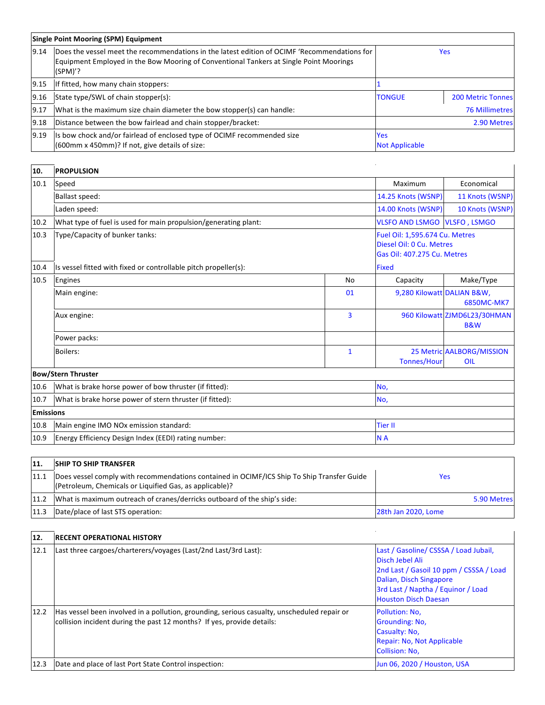|       | <b>Single Point Mooring (SPM) Equipment</b>                                                                                                                                                         |                                     |                          |  |  |  |
|-------|-----------------------------------------------------------------------------------------------------------------------------------------------------------------------------------------------------|-------------------------------------|--------------------------|--|--|--|
| 9.14  | Does the vessel meet the recommendations in the latest edition of OCIMF 'Recommendations for<br>Equipment Employed in the Bow Mooring of Conventional Tankers at Single Point Moorings<br>$(SPM)$ ? |                                     | <b>Yes</b>               |  |  |  |
| 19.15 | If fitted, how many chain stoppers:                                                                                                                                                                 |                                     |                          |  |  |  |
| 9.16  | State type/SWL of chain stopper(s):                                                                                                                                                                 | <b>TONGUE</b>                       | <b>200 Metric Tonnes</b> |  |  |  |
| 9.17  | What is the maximum size chain diameter the bow stopper(s) can handle:                                                                                                                              |                                     | <b>76 Millimetres</b>    |  |  |  |
| 9.18  | Distance between the bow fairlead and chain stopper/bracket:                                                                                                                                        |                                     | 2.90 Metres              |  |  |  |
| 9.19  | Is bow chock and/or fairlead of enclosed type of OCIMF recommended size<br>(600mm x 450mm)? If not, give details of size:                                                                           | <b>Yes</b><br><b>Not Applicable</b> |                          |  |  |  |

| 10.              | <b>PROPULSION</b>                                               |              |                                                                                           |                                                |
|------------------|-----------------------------------------------------------------|--------------|-------------------------------------------------------------------------------------------|------------------------------------------------|
| 10.1             | Speed                                                           |              | Maximum                                                                                   | Economical                                     |
|                  | <b>Ballast speed:</b>                                           |              | 14.25 Knots (WSNP)                                                                        | 11 Knots (WSNP)                                |
|                  | Laden speed:                                                    |              | 14.00 Knots (WSNP)                                                                        | 10 Knots (WSNP)                                |
| 10.2             | What type of fuel is used for main propulsion/generating plant: |              | <b>VLSFO AND LSMGO VLSFO, LSMGO</b>                                                       |                                                |
| 10.3             | Type/Capacity of bunker tanks:                                  |              | Fuel Oil: 1,595.674 Cu. Metres<br>Diesel Oil: 0 Cu. Metres<br>Gas Oil: 407.275 Cu. Metres |                                                |
| 10.4             | Is vessel fitted with fixed or controllable pitch propeller(s): |              | <b>Fixed</b>                                                                              |                                                |
| 10.5             | Engines                                                         | <b>No</b>    | Capacity                                                                                  | Make/Type                                      |
|                  | Main engine:                                                    | 01           | 9,280 Kilowatt DALIAN B&W,                                                                | 6850MC-MK7                                     |
|                  | Aux engine:                                                     | 3            |                                                                                           | 960 Kilowatt ZJMD6L23/30HMAN<br><b>B&amp;W</b> |
|                  | Power packs:                                                    |              |                                                                                           |                                                |
|                  | Boilers:                                                        | $\mathbf{1}$ | <b>Tonnes/Hour</b>                                                                        | <b>25 Metric AALBORG/MISSION</b><br>OIL        |
|                  | <b>Bow/Stern Thruster</b>                                       |              |                                                                                           |                                                |
| 10.6             | What is brake horse power of bow thruster (if fitted):          |              | No,                                                                                       |                                                |
| 10.7             | What is brake horse power of stern thruster (if fitted):        | No,          |                                                                                           |                                                |
| <b>Emissions</b> |                                                                 |              |                                                                                           |                                                |
| 10.8             | Main engine IMO NOx emission standard:                          |              | <b>Tier II</b>                                                                            |                                                |
| 10.9             | Energy Efficiency Design Index (EEDI) rating number:            |              | N <sub>A</sub>                                                                            |                                                |

| 11.  | <b>SHIP TO SHIP TRANSFER</b>                                                                                                                          |                     |
|------|-------------------------------------------------------------------------------------------------------------------------------------------------------|---------------------|
| 11.1 | Does vessel comply with recommendations contained in OCIMF/ICS Ship To Ship Transfer Guide<br>(Petroleum, Chemicals or Liquified Gas, as applicable)? | Yes                 |
| 11.2 | What is maximum outreach of cranes/derricks outboard of the ship's side:                                                                              | 5.90 Metres         |
| 11.3 | Date/place of last STS operation:                                                                                                                     | 28th Jan 2020, Lome |

| 12.  | <b>IRECENT OPERATIONAL HISTORY</b>                                                                                                                                    |                                                                                                                                                                                                     |
|------|-----------------------------------------------------------------------------------------------------------------------------------------------------------------------|-----------------------------------------------------------------------------------------------------------------------------------------------------------------------------------------------------|
| 12.1 | Last three cargoes/charterers/voyages (Last/2nd Last/3rd Last):                                                                                                       | Last / Gasoline/ CSSSA / Load Jubail,<br>Disch Jebel Ali<br>2nd Last / Gasoil 10 ppm / CSSSA / Load<br>Dalian, Disch Singapore<br>3rd Last / Naptha / Equinor / Load<br><b>Houston Disch Daesan</b> |
| 12.2 | Has vessel been involved in a pollution, grounding, serious casualty, unscheduled repair or<br>collision incident during the past 12 months? If yes, provide details: | Pollution: No.<br>Grounding: No.<br>Casualty: No,<br>Repair: No, Not Applicable<br><b>Collision: No.</b>                                                                                            |
| 12.3 | Date and place of last Port State Control inspection:                                                                                                                 | Jun 06, 2020 / Houston, USA                                                                                                                                                                         |